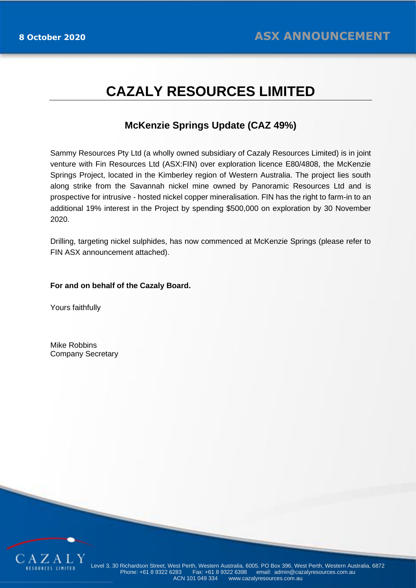# **CAZALY RESOURCES LIMITED**

## **McKenzie Springs Update (CAZ 49%)**

Sammy Resources Pty Ltd (a wholly owned subsidiary of Cazaly Resources Limited) is in joint venture with Fin Resources Ltd (ASX:FIN) over exploration licence E80/4808, the McKenzie Springs Project, located in the Kimberley region of Western Australia. The project lies south along strike from the Savannah nickel mine owned by Panoramic Resources Ltd and is prospective for intrusive - hosted nickel copper mineralisation. FIN has the right to farm-in to an additional 19% interest in the Project by spending \$500,000 on exploration by 30 November 2020.

Drilling, targeting nickel sulphides, has now commenced at McKenzie Springs (please refer to FIN ASX announcement attached).

## **For and on behalf of the Cazaly Board.**

Yours faithfully

Mike Robbins Company Secretary

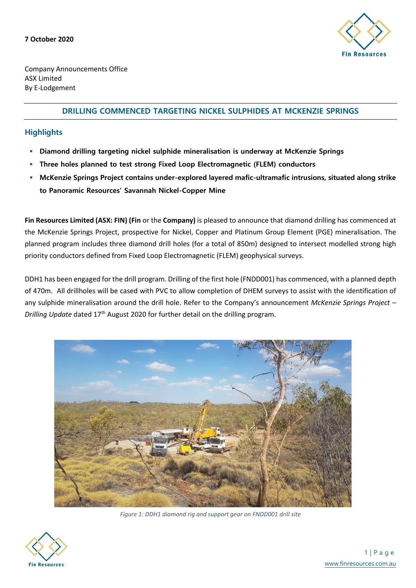

Company Announcements Office ASX Limited By E-Lodgement

## **DRILLING COMMENCED TARGETING NICKEL SULPHIDES AT MCKENZIE SPRINGS**

## **Highlights**

- **Diamond drilling targeting nickel sulphide mineralisation is underway at McKenzie Springs**
- **Three holes planned to test strong Fixed Loop Electromagnetic (FLEM) conductors**
- **McKenzie Springs Project contains under-explored layered mafic-ultramafic intrusions, situated along strike to Panoramic Resources' Savannah Nickel-Copper Mine**

**Fin Resources Limited (ASX: FIN) (Fin** or the **Company)** is pleased to announce that diamond drilling has commenced at the McKenzie Springs Project, prospective for Nickel, Copper and Platinum Group Element (PGE) mineralisation. The planned program includes three diamond drill holes (for a total of 850m) designed to intersect modelled strong high priority conductors defined from Fixed Loop Electromagnetic (FLEM) geophysical surveys.

DDH1 has been engaged for the drill program. Drilling of the first hole (FNDD001) has commenced, with a planned depth of 470m. All drillholes will be cased with PVC to allow completion of DHEM surveys to assist with the identification of any sulphide mineralisation around the drill hole. Refer to the Company's announcement *McKenzie Springs Project – Drilling Update* dated 17<sup>th</sup> August 2020 for further detail on the drilling program.



*Figure 1: DDH1 diamond rig and support gear on FNDD001 drill site*